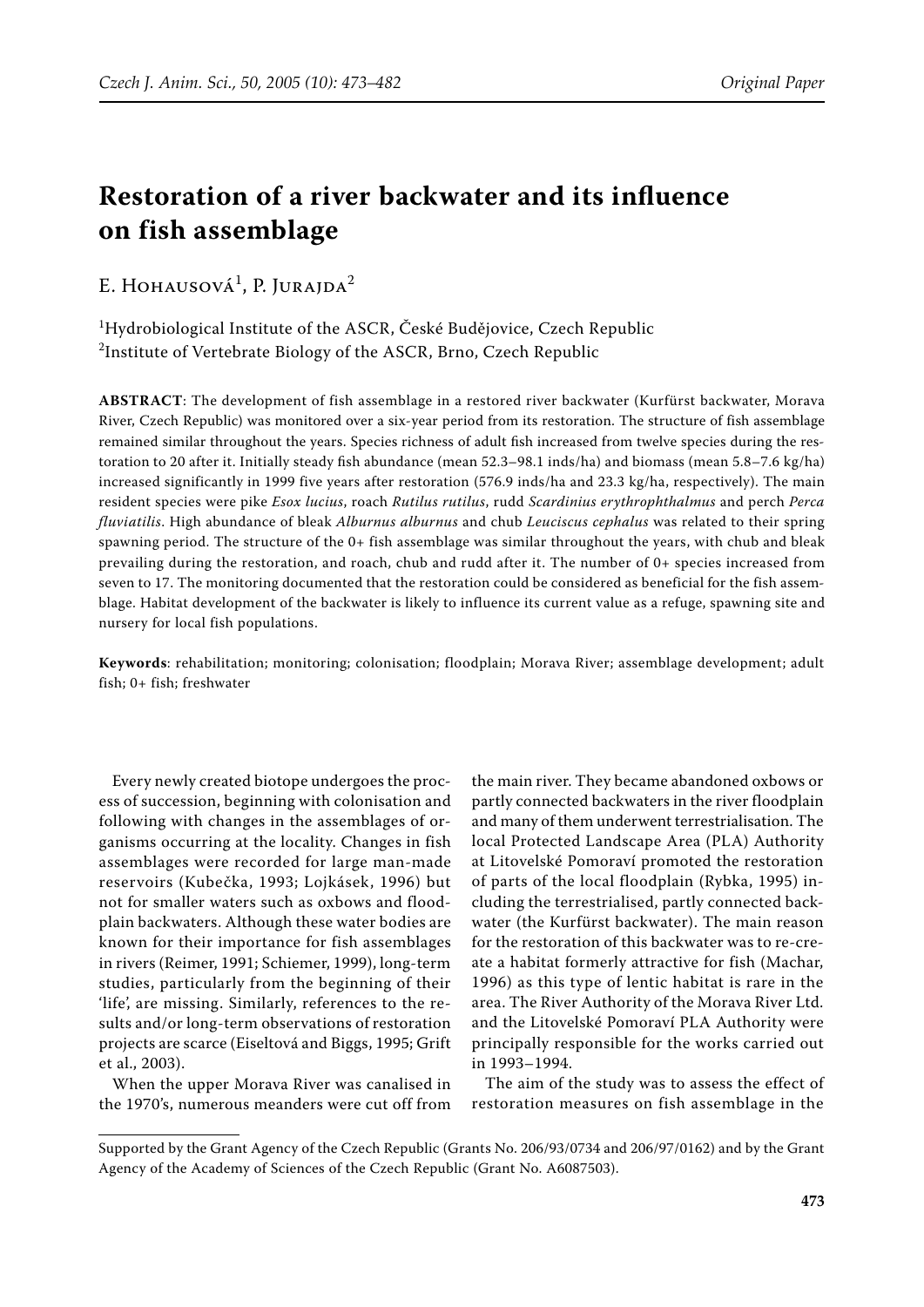# **Restoration of a river backwater and its influence on fish assemblage**

# E. HOHAUSOVÁ<sup>1</sup>, P. JURAJDA<sup>2</sup>

 $\rm ^1$ Hydrobiological Institute of the ASCR, České Budějovice, Czech Republic  $^2$ Institute of Vertebrate Biology of the ASCR, Brno, Czech Republic

**ABSTRACT**: The development of fish assemblage in a restored river backwater (Kurfürst backwater, Morava River, Czech Republic) was monitored over a six-year period from its restoration. The structure of fish assemblage remained similar throughout the years. Species richness of adult fish increased from twelve species during the restoration to 20 after it. Initially steady fish abundance (mean 52.3–98.1 inds/ha) and biomass (mean 5.8–7.6 kg/ha) increased significantly in 1999 five years after restoration (576.9 inds/ha and 23.3 kg/ha, respectively). The main resident species were pike *Esox lucius*, roach *Rutilus rutilus*, rudd *Scardinius erythrophthalmus* and perch *Perca fluviatilis*. High abundance of bleak *Alburnus alburnus* and chub *Leuciscus cephalus* was related to their spring spawning period. The structure of the 0+ fish assemblage was similar throughout the years, with chub and bleak prevailing during the restoration, and roach, chub and rudd after it. The number of 0+ species increased from seven to 17. The monitoring documented that the restoration could be considered as beneficial for the fish assemblage. Habitat development of the backwater is likely to influence its current value as a refuge, spawning site and nursery for local fish populations.

**Keywords**: rehabilitation; monitoring; colonisation; floodplain; Morava River; assemblage development; adult fish; 0+ fish; freshwater

Every newly created biotope undergoes the process of succession, beginning with colonisation and following with changes in the assemblages of organisms occurring at the locality. Changes in fish assemblages were recorded for large man-made reservoirs (Kubečka, 1993; Lojkásek, 1996) but not for smaller waters such as oxbows and floodplain backwaters. Although these water bodies are known for their importance for fish assemblages in rivers (Reimer, 1991; Schiemer, 1999), long-term studies, particularly from the beginning of their 'life', are missing. Similarly, references to the results and/or long-term observations of restoration projects are scarce (Eiseltová and Biggs, 1995; Grift et al., 2003).

When the upper Morava River was canalised in the 1970's, numerous meanders were cut off from the main river. They became abandoned oxbows or partly connected backwaters in the river floodplain and many of them underwent terrestrialisation. The local Protected Landscape Area (PLA) Authority at Litovelské Pomoraví promoted the restoration of parts of the local floodplain (Rybka, 1995) including the terrestrialised, partly connected backwater (the Kurfürst backwater). The main reason for the restoration of this backwater was to re-create a habitat formerly attractive for fish (Machar, 1996) as this type of lentic habitat is rare in the area. The River Authority of the Morava River Ltd. and the Litovelské Pomoraví PLA Authority were principally responsible for the works carried out in 1993–1994.

The aim of the study was to assess the effect of restoration measures on fish assemblage in the

Supported by the Grant Agency of the Czech Republic (Grants No. 206/93/0734 and 206/97/0162) and by the Grant Agency of the Academy of Sciences of the Czech Republic (Grant No. A6087503).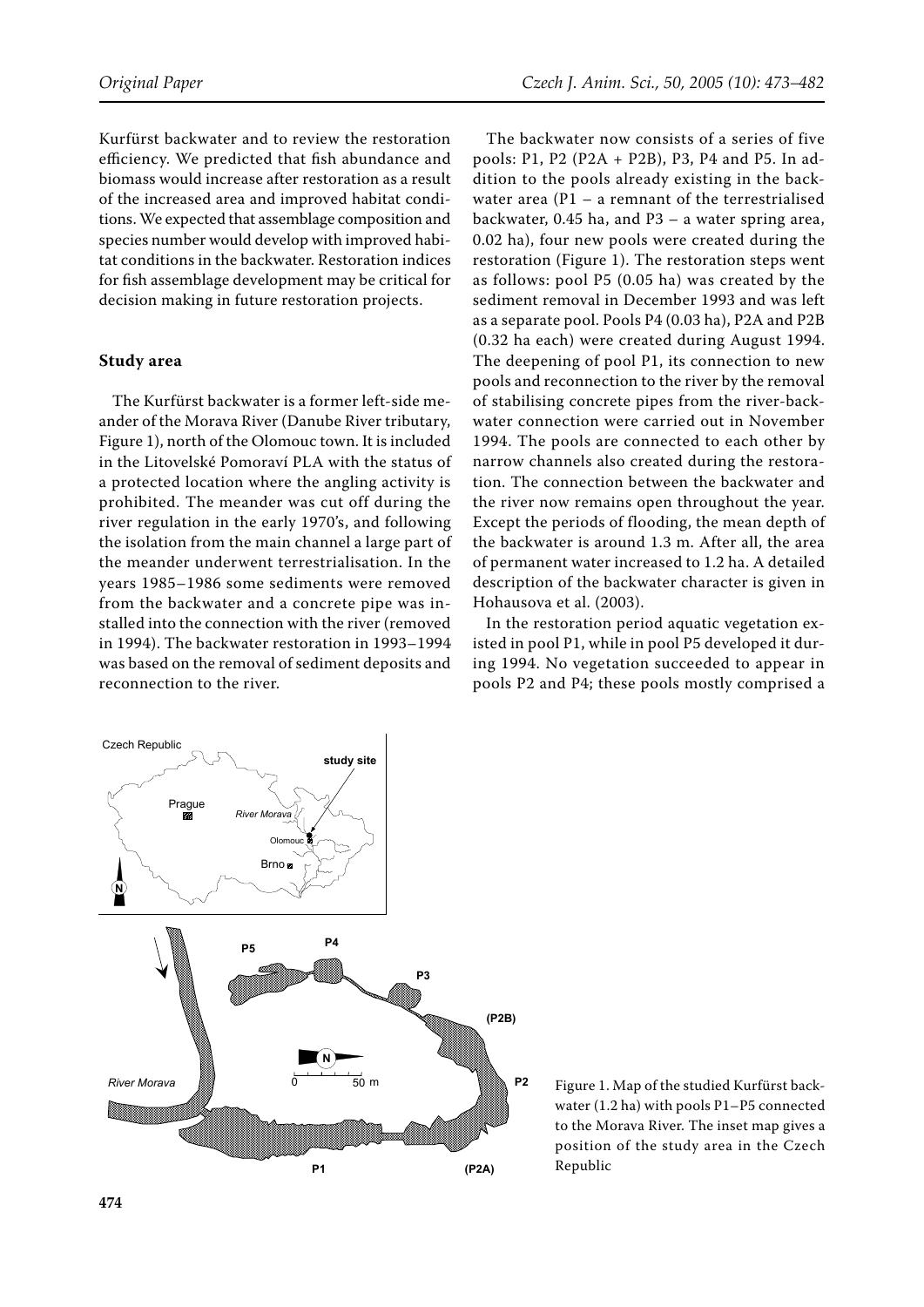Kurfürst backwater and to review the restoration efficiency. We predicted that fish abundance and biomass would increase after restoration as a result of the increased area and improved habitat conditions. We expected that assemblage composition and species number would develop with improved habitat conditions in the backwater. Restoration indices for fish assemblage development may be critical for decision making in future restoration projects.

## **Study area**

The Kurfürst backwater is a former left-side meander of the Morava River (Danube River tributary, Figure 1), north of the Olomouc town. It is included in the Litovelské Pomoraví PLA with the status of a protected location where the angling activity is prohibited. The meander was cut off during the river regulation in the early 1970's, and following the isolation from the main channel a large part of the meander underwent terrestrialisation. In the years 1985–1986 some sediments were removed from the backwater and a concrete pipe was installed into the connection with the river (removed in 1994). The backwater restoration in 1993–1994 was based on the removal of sediment deposits and reconnection to the river.

The backwater now consists of a series of five pools: P1, P2 (P2A + P2B), P3, P4 and P5. In addition to the pools already existing in the backwater area (P1 – a remnant of the terrestrialised backwater, 0.45 ha, and P3 – a water spring area, 0.02 ha), four new pools were created during the restoration (Figure 1). The restoration steps went as follows: pool P5 (0.05 ha) was created by the sediment removal in December 1993 and was left as a separate pool. Pools P4 (0.03 ha), P2A and P2B (0.32 ha each) were created during August 1994. The deepening of pool P1, its connection to new pools and reconnection to the river by the removal of stabilising concrete pipes from the river-backwater connection were carried out in November 1994. The pools are connected to each other by narrow channels also created during the restoration. The connection between the backwater and the river now remains open throughout the year. Except the periods of flooding, the mean depth of the backwater is around 1.3 m. After all, the area of permanent water increased to 1.2 ha. A detailed description of the backwater character is given in Hohausova et al. (2003).

In the restoration period aquatic vegetation existed in pool P1, while in pool P5 developed it during 1994. No vegetation succeeded to appear in pools P2 and P4; these pools mostly comprised a



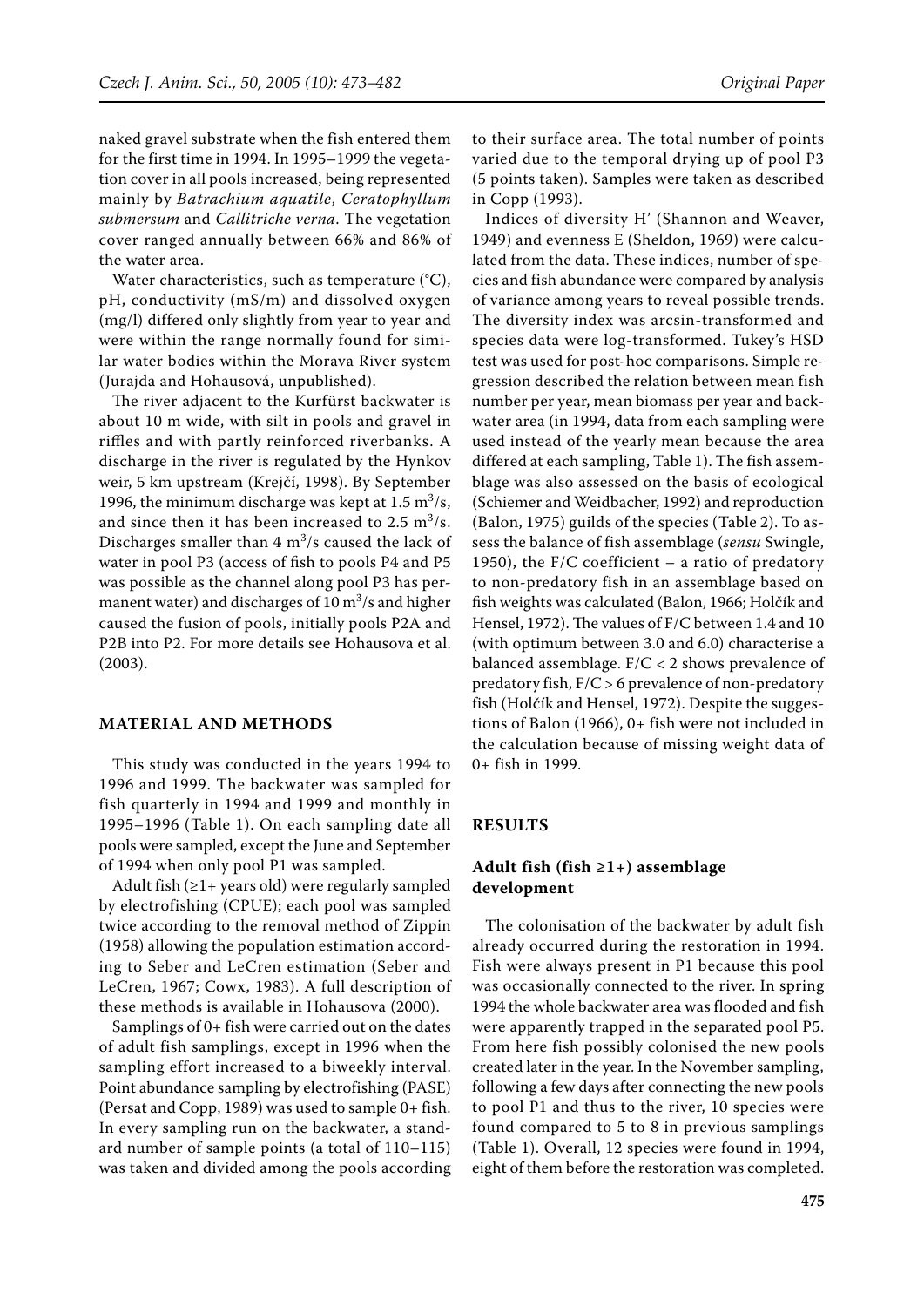naked gravel substrate when the fish entered them for the first time in 1994. In 1995–1999 the vegetation cover in all pools increased, being represented mainly by *Batrachium aquatile*, *Ceratophyllum submersum* and *Callitriche verna*. The vegetation cover ranged annually between 66% and 86% of the water area.

Water characteristics, such as temperature (°C), pH, conductivity (mS/m) and dissolved oxygen (mg/l) differed only slightly from year to year and were within the range normally found for similar water bodies within the Morava River system (Jurajda and Hohausová, unpublished).

The river adjacent to the Kurfürst backwater is about 10 m wide, with silt in pools and gravel in riffles and with partly reinforced riverbanks. A discharge in the river is regulated by the Hynkov weir, 5 km upstream (Krejčí, 1998). By September 1996, the minimum discharge was kept at  $1.5 \text{ m}^3/\text{s}$ , and since then it has been increased to  $2.5 \text{ m}^3/\text{s}$ . Discharges smaller than  $4 \text{ m}^3/\text{s}$  caused the lack of water in pool P3 (access of fish to pools P4 and P5 was possible as the channel along pool P3 has permanent water) and discharges of  $10 \text{ m}^3\text{/s}$  and higher caused the fusion of pools, initially pools P2A and P2B into P2. For more details see Hohausova et al. (2003).

# **MATERIAL AND METHODS**

This study was conducted in the years 1994 to 1996 and 1999. The backwater was sampled for fish quarterly in 1994 and 1999 and monthly in 1995–1996 (Table 1). On each sampling date all pools were sampled, except the June and September of 1994 when only pool P1 was sampled.

Adult fish  $(≥1+years old)$  were regularly sampled by electrofishing (CPUE); each pool was sampled twice according to the removal method of Zippin (1958) allowing the population estimation according to Seber and LeCren estimation (Seber and LeCren, 1967; Cowx, 1983). A full description of these methods is available in Hohausova (2000).

Samplings of 0+ fish were carried out on the dates of adult fish samplings, except in 1996 when the sampling effort increased to a biweekly interval. Point abundance sampling by electrofishing (PASE) (Persat and Copp, 1989) was used to sample 0+ fish. In every sampling run on the backwater, a standard number of sample points (a total of 110–115) was taken and divided among the pools according to their surface area. The total number of points varied due to the temporal drying up of pool P3 (5 points taken). Samples were taken as described in Copp (1993).

Indices of diversity H' (Shannon and Weaver, 1949) and evenness E (Sheldon, 1969) were calculated from the data. These indices, number of species and fish abundance were compared by analysis of variance among years to reveal possible trends. The diversity index was arcsin-transformed and species data were log-transformed. Tukey's HSD test was used for post-hoc comparisons. Simple regression described the relation between mean fish number per year, mean biomass per year and backwater area (in 1994, data from each sampling were used instead of the yearly mean because the area differed at each sampling, Table 1). The fish assemblage was also assessed on the basis of ecological (Schiemer and Weidbacher, 1992) and reproduction (Balon, 1975) guilds of the species (Table 2). To assess the balance of fish assemblage (*sensu* Swingle, 1950), the F/C coefficient  $-$  a ratio of predatory to non-predatory fish in an assemblage based on fish weights was calculated (Balon, 1966; Holčík and Hensel, 1972). The values of F/C between 1.4 and 10 (with optimum between 3.0 and 6.0) characterise a balanced assemblage. F/C < 2 shows prevalence of predatory fish, F/C > 6 prevalence of non-predatory fish (Holčík and Hensel, 1972). Despite the suggestions of Balon (1966), 0+ fish were not included in the calculation because of missing weight data of 0+ fish in 1999.

# **RESULTS**

# **Adult fish (fish ≥1+) assemblage development**

The colonisation of the backwater by adult fish already occurred during the restoration in 1994. Fish were always present in P1 because this pool was occasionally connected to the river. In spring 1994 the whole backwater area was flooded and fish were apparently trapped in the separated pool P5. From here fish possibly colonised the new pools created later in the year. In the November sampling, following a few days after connecting the new pools to pool P1 and thus to the river, 10 species were found compared to 5 to 8 in previous samplings (Table 1). Overall, 12 species were found in 1994, eight of them before the restoration was completed.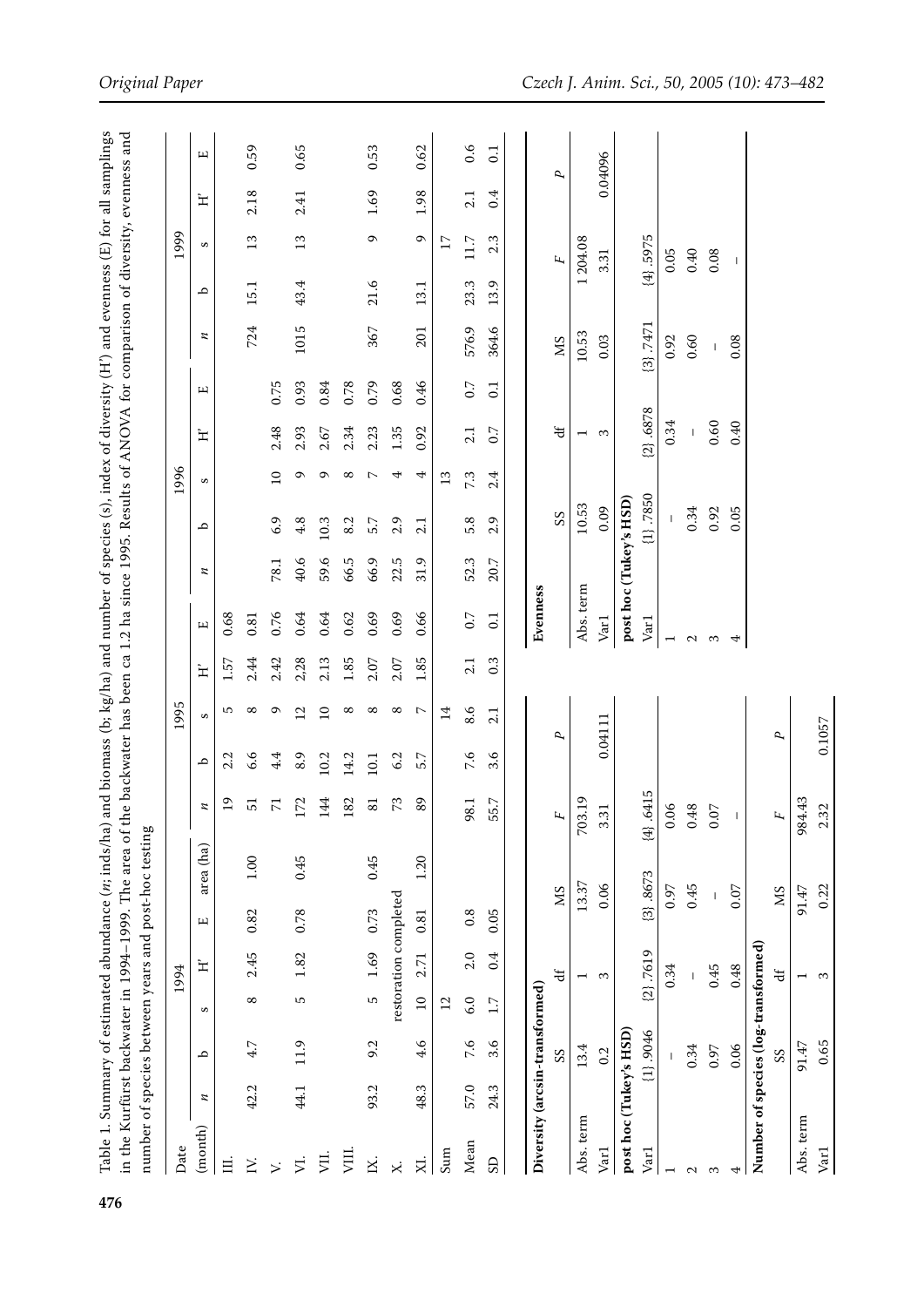|                                     |      |              |                 | 1994                     |      | number of species between years and post-hoc testing |                                   |      | 1995                    |      |                   |                        |               | 1996            |                          |      |          |      | 1999            |      |                |
|-------------------------------------|------|--------------|-----------------|--------------------------|------|------------------------------------------------------|-----------------------------------|------|-------------------------|------|-------------------|------------------------|---------------|-----------------|--------------------------|------|----------|------|-----------------|------|----------------|
| (month)<br>Date                     | И    | م            | S               | $\mathbf{H}$             | щ    | area (ha)                                            | z                                 | م    | S                       | 辷    | щ                 | z                      | م             | S               | 工                        | щ    | z        | م    | S               | 辷    | щ              |
| Ħ.                                  |      |              |                 |                          |      |                                                      | $\overline{1}$                    | 2.2  | 5                       | 1.57 | 0.68              |                        |               |                 |                          |      |          |      |                 |      |                |
| Z.                                  | 42.2 | 4.7          | $^{\circ}$      | 2.45                     | 0.82 | $1.00\,$                                             | 51                                | 6.6  | $^{\circ}$              | 2.44 | 0.81              |                        |               |                 |                          |      | 724      | 15.1 | 13              | 2.18 | 0.59           |
| $\ddot{ }$                          |      |              |                 |                          |      |                                                      | $\overline{7}$                    | 4.4  | $\sigma$                | 2.42 | 0.76              | 78.1                   | 6.9           | $\overline{10}$ | 2.48                     | 0.75 |          |      |                 |      |                |
| Þ.                                  | 44.1 | 11.9         | 5               | 1.82                     | 0.78 | 0.45                                                 | 172                               | 8.9  | $\overline{\mathbf{C}}$ | 2,28 | 0.64              | 40.6                   | 4.8           | ᡡ               | 2.93                     | 0.93 | 1015     | 43.4 | 13              | 2.41 | 0.65           |
| VII.                                |      |              |                 |                          |      |                                                      | 144                               | 10.2 | $\overline{10}$         | 2.13 | 0.64              | 59.6                   | 10.3          | $\circ$         | 2.67                     | 0.84 |          |      |                 |      |                |
| VIII.                               |      |              |                 |                          |      |                                                      | 182                               | 14.2 | $^{\circ}$              | 1.85 | 0.62              | 66.5                   | 8.2           | ${}^{\circ}$    | 2.34                     | 0.78 |          |      |                 |      |                |
| X.                                  | 93.2 | 9.2          | LO              | 1.69                     | 0.73 | 0.45                                                 | 81                                | 10.1 | $^{\circ}$              | 2.07 | 0.69              | 66.9                   | 5.7           | $\overline{ }$  | 2.23                     | 0.79 | 367      | 21.6 | $\sigma$        | 1.69 | 0.53           |
| $\times$                            |      |              |                 | restoration completed    |      |                                                      | 73                                | 6.2  | $^{\circ}$              | 2.07 | 0.69              | 22.5                   | 2.9           | 4               | 1.35                     | 0.68 |          |      |                 |      |                |
| XI.                                 | 48.3 | 4.6          | $\overline{10}$ | 2.71                     | 0.81 | 1.20                                                 | 89                                | 5.7  | $\sim$                  | 1.85 | 0.66              | 31.9                   | 2.1           | 4               | 0.92                     | 0.46 | 201      | 13.1 | $\sigma$        | 1.98 | 0.62           |
| Sum                                 |      |              | 12              |                          |      |                                                      |                                   |      | $\overline{14}$         |      |                   |                        |               | $\frac{3}{2}$   |                          |      |          |      | $\overline{17}$ |      |                |
| Mean                                | 57.0 | 7.6          | 6.0             | 2.0                      | 0.8  |                                                      | 98.1                              | 7.6  | 8.6                     | 2.1  | 0.7               | 52.3                   | 5.8           | 7.3             | 2.1                      | 0.7  | 576.9    | 23.3 | 11.7            | 21   | 0.6            |
| GS                                  | 24.3 | 3.6          | 1.7             | 0.4                      | 0.05 |                                                      | 55.7                              | 3.6  | 2.1                     | 0.3  | 0.1               | 20.7                   | 2.9           | 2.4             | 0.7                      | 0.1  | 364.6    | 13.9 | 2.3             | 0.4  | $\overline{0}$ |
|                                     |      |              |                 |                          |      |                                                      |                                   |      |                         |      |                   |                        |               |                 |                          |      |          |      |                 |      |                |
| Diversity (arcsin-transformed)      |      |              |                 |                          |      |                                                      |                                   |      |                         |      | Evenness          |                        |               |                 |                          |      |          |      |                 |      |                |
|                                     |      | SS           |                 | ਚੋ                       |      | <b>NS</b>                                            | Щ                                 |      | ς,                      |      |                   |                        | SS            |                 | $\ddot{a}$               |      | SM       |      | Щ               |      | ς,             |
| Abs. term                           |      | 13.4         |                 | $\overline{\phantom{0}}$ |      | 13.37                                                | 13.19<br>$\overline{5}$           |      |                         |      | Abs. term         |                        | 10.53         |                 | $\overline{\phantom{0}}$ |      | 10.53    |      | 1204.08         |      |                |
| Var1                                |      | 0.2          |                 | $\infty$                 |      | 0.06                                                 | $\ddot{3}$<br>S                   |      | 0.04111                 |      | Var1              |                        | 0.09          |                 | $\mathfrak{g}$           |      | 0.03     |      | 3.31            |      | 0.04096        |
| post hoc (Tukey's HSD)              |      |              |                 |                          |      |                                                      |                                   |      |                         |      |                   | post hoc (Tukey's HSD) |               |                 |                          |      |          |      |                 |      |                |
| Var1                                |      | $(1)$ , 9046 |                 | $(2)$ .7619              |      | ${3}$ .8673                                          | .6415<br>$\widehat{\mathfrak{A}}$ |      |                         |      | Var1              |                        | ${1}$ } .7850 |                 | $(2)$ , 6878             |      | [3; 7471 |      | ${4}$ 5975      |      |                |
|                                     |      |              |                 | 0.34                     |      | 0.97                                                 | 0.06                              |      |                         |      | $\overline{ }$    |                        |               |                 | 0.34                     |      | 0.92     |      | 0.05            |      |                |
| $\mathbf{\Omega}$                   |      | 0.34         |                 |                          |      | 0.45                                                 | 0.48                              |      |                         |      | $\mathbf{\Omega}$ |                        | 0.34          |                 |                          |      | 0.60     |      | 0.40            |      |                |
| S                                   |      | 0.97         |                 | 0.45                     |      |                                                      | $\overline{0}$<br>0               |      |                         |      | 3                 |                        | 0.92          |                 | 0.60                     |      |          |      | 0.08            |      |                |
| 4                                   |      | 0.06         |                 | 0.48                     |      | 0.07                                                 | $\mathbf{I}$                      |      |                         |      | 4                 |                        | 0.05          |                 | 0.40                     |      | 0.08     |      |                 |      |                |
| Number of species (log-transformed) |      |              |                 |                          |      |                                                      |                                   |      |                         |      |                   |                        |               |                 |                          |      |          |      |                 |      |                |
|                                     |      | $^{5S}$      |                 | も                        |      | SM                                                   | Ц                                 |      | ρ,                      |      |                   |                        |               |                 |                          |      |          |      |                 |      |                |
| Abs. term                           |      | 91.47        |                 |                          |      | 91.47                                                | 984.43                            |      |                         |      |                   |                        |               |                 |                          |      |          |      |                 |      |                |
| Varl                                |      | 0.65         |                 |                          |      | 0.22                                                 | 32<br>$\sim$                      |      | 0.1057                  |      |                   |                        |               |                 |                          |      |          |      |                 |      |                |

**476**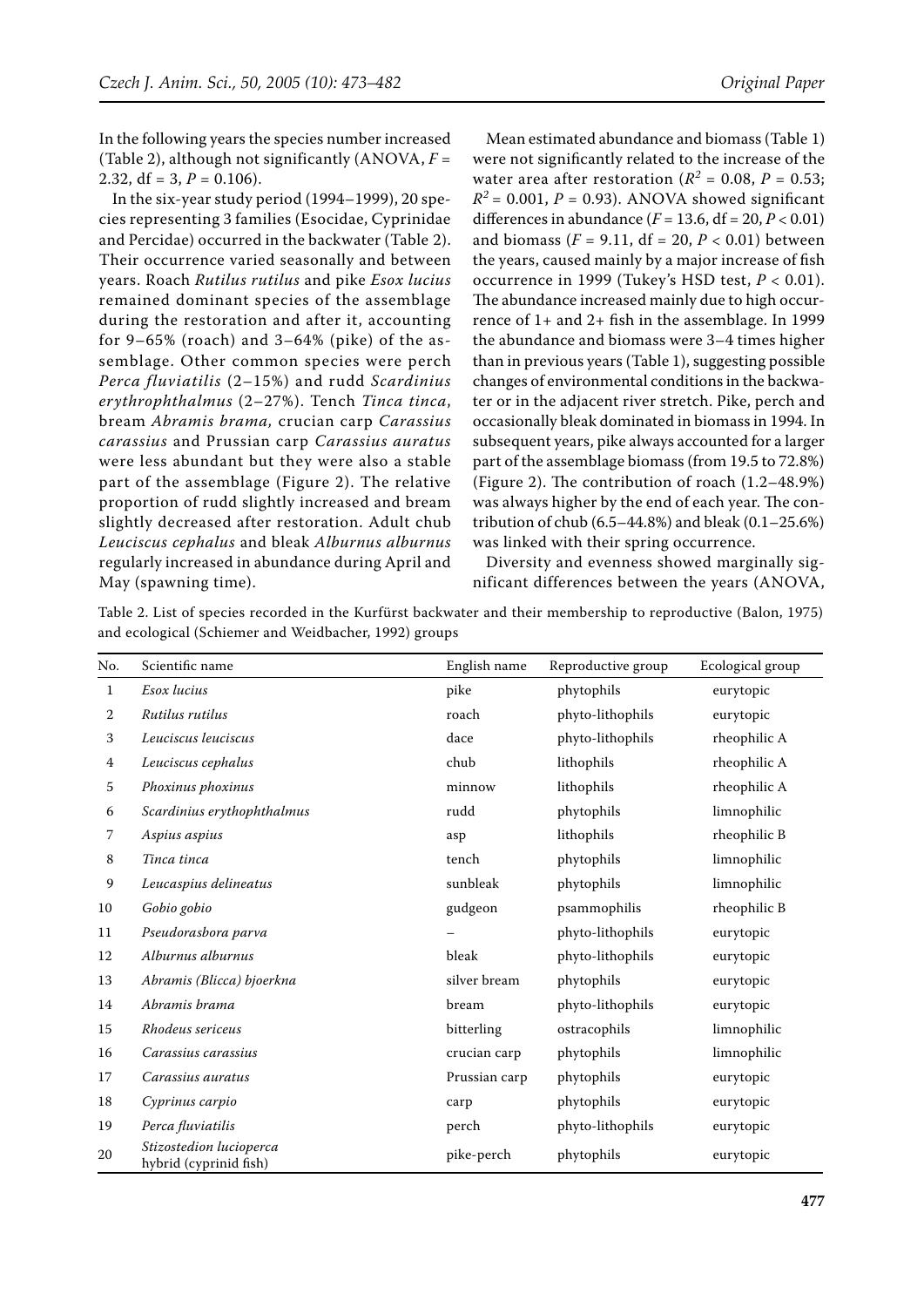In the following years the species number increased (Table 2), although not significantly (ANOVA,  $F =$ 2.32,  $df = 3$ ,  $P = 0.106$ ).

In the six-year study period (1994–1999), 20 species representing 3 families (Esocidae, Cyprinidae and Percidae) occurred in the backwater (Table 2). Their occurrence varied seasonally and between years. Roach *Rutilus rutilus* and pike *Esox lucius* remained dominant species of the assemblage during the restoration and after it, accounting for  $9-65\%$  (roach) and  $3-64\%$  (pike) of the assemblage. Other common species were perch *Perca fluviatilis* (2–15%) and rudd *Scardinius erythrophthalmus* (2–27%). Tench *Tinca tinca*, bream *Abramis brama,* crucian carp *Carassius carassius* and Prussian carp *Carassius auratus* were less abundant but they were also a stable part of the assemblage (Figure 2). The relative proportion of rudd slightly increased and bream slightly decreased after restoration. Adult chub *Leuciscus cephalus* and bleak *Alburnus alburnus*  regularly increased in abundance during April and May (spawning time).

Mean estimated abundance and biomass (Table 1) were not significantly related to the increase of the water area after restoration ( $R^2 = 0.08$ ,  $P = 0.53$ ;  $R^2$  = 0.001, *P* = 0.93). ANOVA showed significant differences in abundance (*F* = 13.6, df = 20, *P* < 0.01) and biomass ( $F = 9.11$ , df = 20,  $P < 0.01$ ) between the years, caused mainly by a major increase of fish occurrence in 1999 (Tukey's HSD test, *P* < 0.01). The abundance increased mainly due to high occurrence of 1+ and 2+ fish in the assemblage. In 1999 the abundance and biomass were 3–4 times higher than in previous years (Table 1), suggesting possible changes of environmental conditions in the backwater or in the adjacent river stretch. Pike, perch and occasionally bleak dominated in biomass in 1994. In subsequent years, pike always accounted for a larger part of the assemblage biomass (from 19.5 to 72.8%) (Figure 2). The contribution of roach (1.2–48.9%) was always higher by the end of each year. The contribution of chub (6.5–44.8%) and bleak (0.1–25.6%) was linked with their spring occurrence.

Diversity and evenness showed marginally significant differences between the years (ANOVA,

| Table 2. List of species recorded in the Kurfürst backwater and their membership to reproductive (Balon, 1975) |  |  |  |  |
|----------------------------------------------------------------------------------------------------------------|--|--|--|--|
| and ecological (Schiemer and Weidbacher, 1992) groups                                                          |  |  |  |  |

| No. | Scientific name                                   | English name  | Reproductive group | Ecological group |
|-----|---------------------------------------------------|---------------|--------------------|------------------|
| 1   | Esox lucius                                       | pike          | phytophils         | eurytopic        |
| 2   | Rutilus rutilus                                   | roach         | phyto-lithophils   | eurytopic        |
| 3   | Leuciscus leuciscus                               | dace          | phyto-lithophils   | rheophilic A     |
| 4   | Leuciscus cephalus                                | chub          | lithophils         | rheophilic A     |
| 5   | Phoxinus phoxinus                                 | minnow        | lithophils         | rheophilic A     |
| 6   | Scardinius erythophthalmus                        | rudd          | phytophils         | limnophilic      |
| 7   | Aspius aspius                                     | asp           | lithophils         | rheophilic B     |
| 8   | Tinca tinca                                       | tench         | phytophils         | limnophilic      |
| 9   | Leucaspius delineatus                             | sunbleak      | phytophils         | limnophilic      |
| 10  | Gobio gobio                                       | gudgeon       | psammophilis       | rheophilic B     |
| 11  | Pseudorasbora parva                               |               | phyto-lithophils   | eurytopic        |
| 12  | Alburnus alburnus                                 | bleak         | phyto-lithophils   | eurytopic        |
| 13  | Abramis (Blicca) bjoerkna                         | silver bream  | phytophils         | eurytopic        |
| 14  | Abramis brama                                     | bream         | phyto-lithophils   | eurytopic        |
| 15  | Rhodeus sericeus                                  | bitterling    | ostracophils       | limnophilic      |
| 16  | Carassius carassius                               | crucian carp  | phytophils         | limnophilic      |
| 17  | Carassius auratus                                 | Prussian carp | phytophils         | eurytopic        |
| 18  | Cyprinus carpio                                   | carp          | phytophils         | eurytopic        |
| 19  | Perca fluviatilis                                 | perch         | phyto-lithophils   | eurytopic        |
| 20  | Stizostedion lucioperca<br>hybrid (cyprinid fish) | pike-perch    | phytophils         | eurytopic        |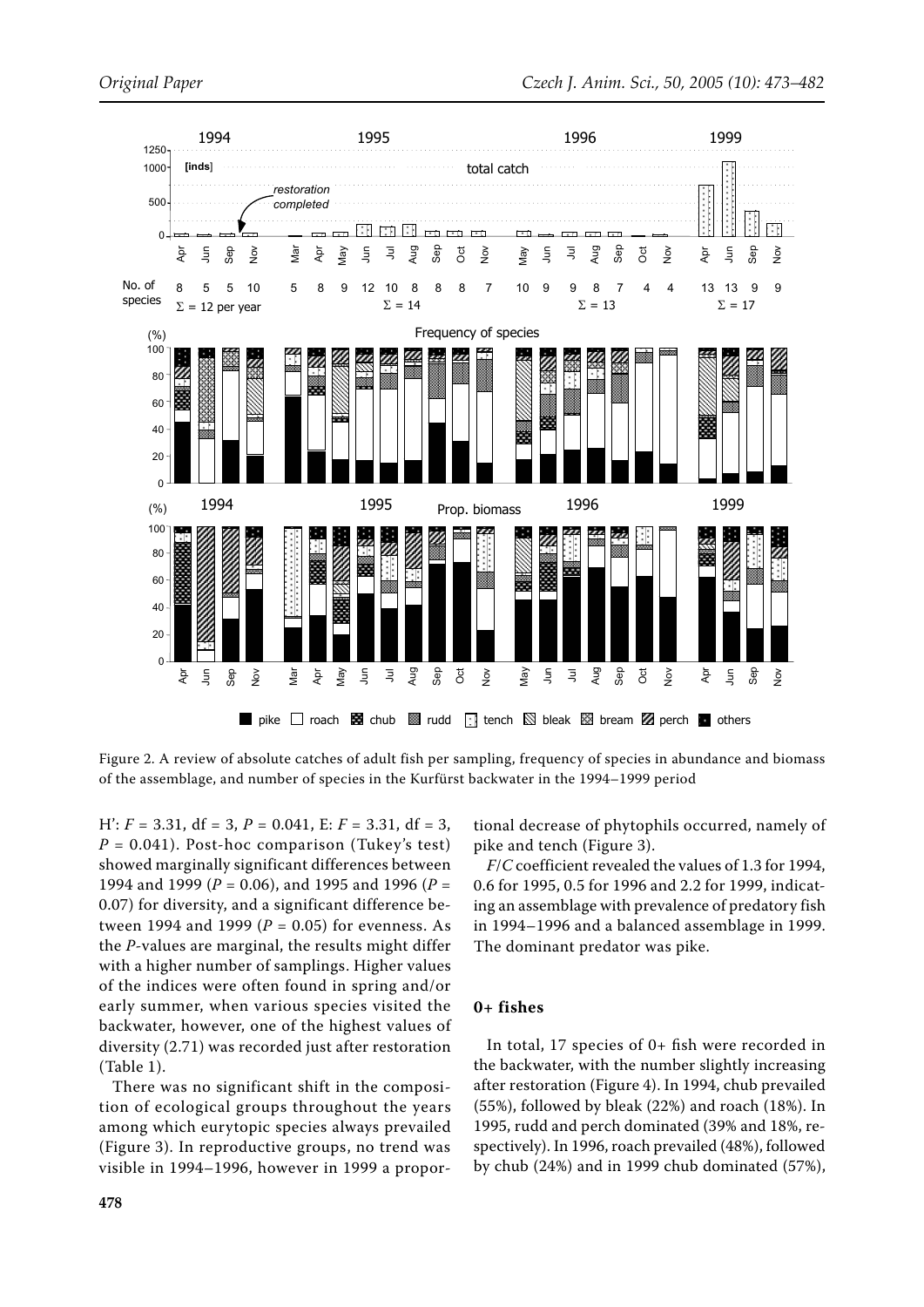

Figure 2. A review of absolute catches of adult fish per sampling, frequency of species in abundance and biomass of the assemblage, and number of species in the Kurfürst backwater in the 1994–1999 period

 $H'$ :  $F = 3.31$ ,  $df = 3$ ,  $P = 0.041$ ,  $E: F = 3.31$ ,  $df = 3$ ,  $P = 0.041$ ). Post-hoc comparison (Tukey's test) showed marginally significant differences between 1994 and 1999 (*P* = 0.06), and 1995 and 1996 (*P* = 0.07) for diversity, and a significant difference between 1994 and 1999 ( $P = 0.05$ ) for evenness. As the *P*-values are marginal, the results might differ with a higher number of samplings. Higher values of the indices were often found in spring and/or early summer, when various species visited the backwater, however, one of the highest values of diversity (2.71) was recorded just after restoration (Table 1).

There was no significant shift in the composition of ecological groups throughout the years among which eurytopic species always prevailed (Figure 3). In reproductive groups, no trend was visible in 1994–1996, however in 1999 a proportional decrease of phytophils occurred, namely of pike and tench (Figure 3).

*F*/*C* coefficient revealed the values of 1.3 for 1994, 0.6 for 1995, 0.5 for 1996 and 2.2 for 1999, indicating an assemblage with prevalence of predatory fish in 1994–1996 and a balanced assemblage in 1999. The dominant predator was pike.

### **0+ fishes**

In total, 17 species of 0+ fish were recorded in the backwater, with the number slightly increasing after restoration (Figure 4). In 1994, chub prevailed (55%), followed by bleak (22%) and roach (18%). In 1995, rudd and perch dominated (39% and 18%, respectively). In 1996, roach prevailed (48%), followed by chub (24%) and in 1999 chub dominated (57%),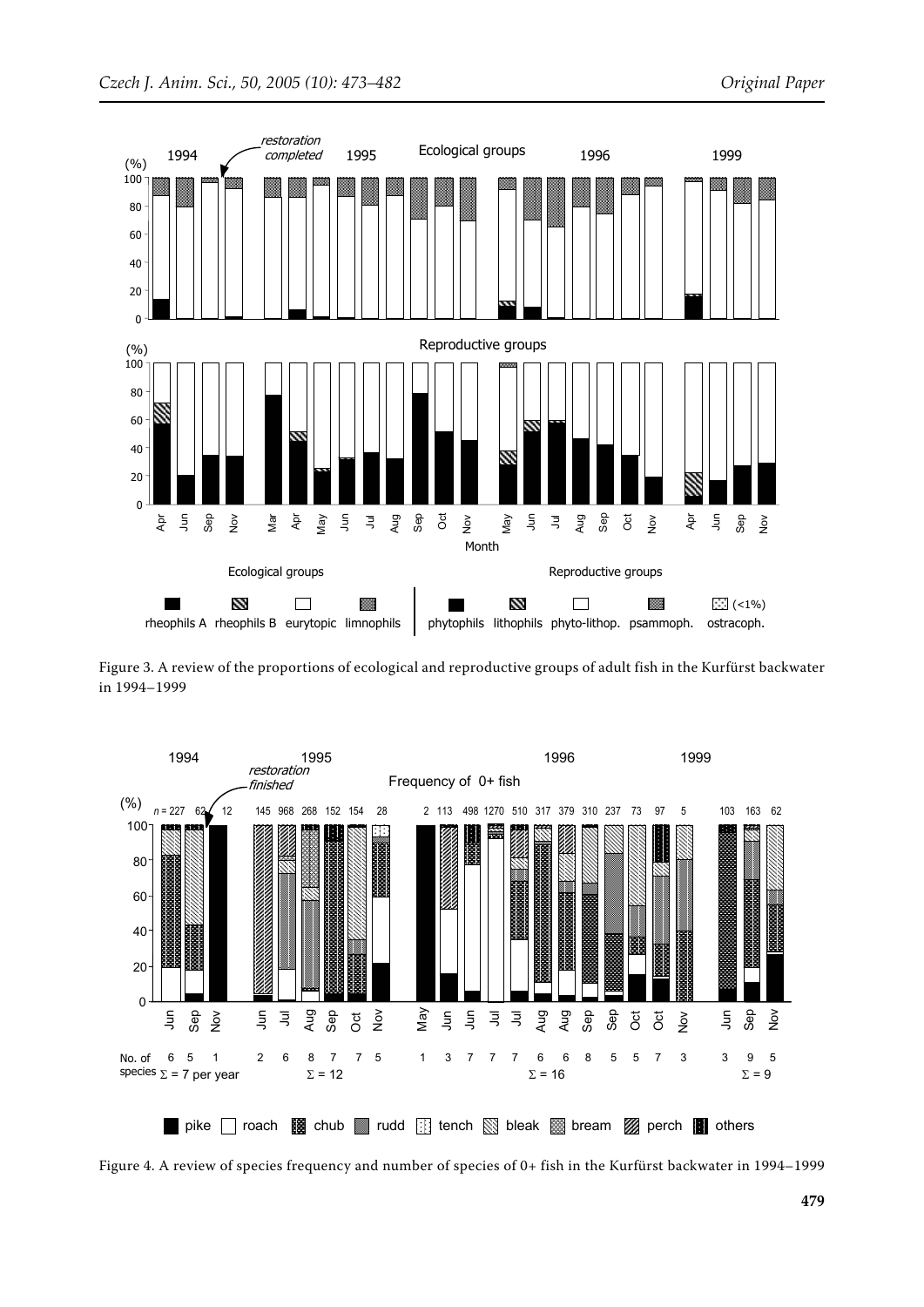

Figure 3. A review of the proportions of ecological and reproductive groups of adult fish in the Kurfürst backwater in 1994–1999



Figure 4. A review of species frequency and number of species of 0+ fish in the Kurfürst backwater in 1994–1999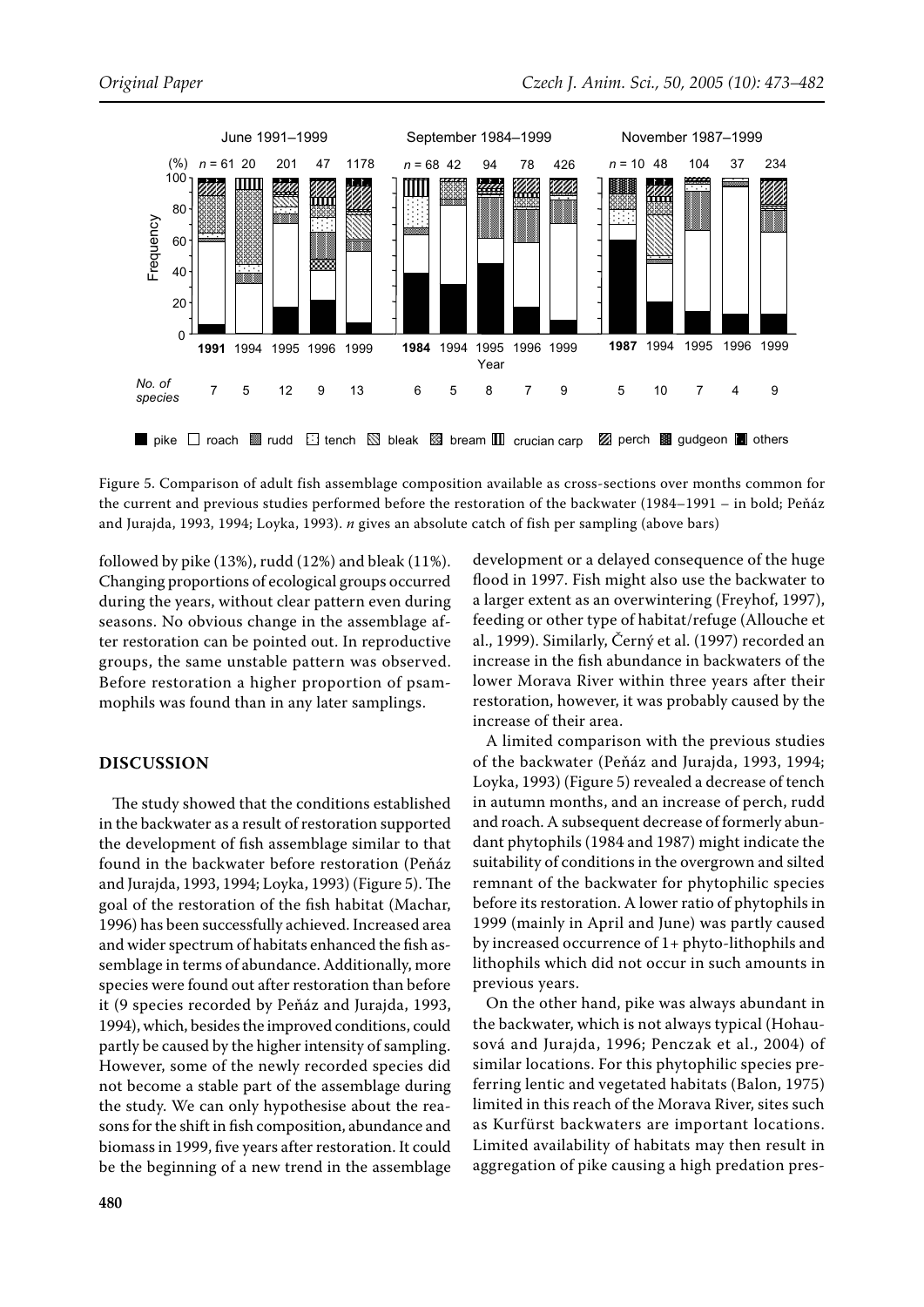

Figure 5. Comparison of adult fish assemblage composition available as cross-sections over months common for the current and previous studies performed before the restoration of the backwater (1984–1991 – in bold; Peňáz and Jurajda, 1993, 1994; Loyka, 1993). *n* gives an absolute catch of fish per sampling (above bars)

followed by pike (13%), rudd (12%) and bleak (11%). Changing proportions of ecological groups occurred during the years, without clear pattern even during seasons. No obvious change in the assemblage after restoration can be pointed out. In reproductive groups, the same unstable pattern was observed. Before restoration a higher proportion of psammophils was found than in any later samplings.

# **DISCUSSION**

The study showed that the conditions established in the backwater as a result of restoration supported the development of fish assemblage similar to that found in the backwater before restoration (Peňáz and Jurajda, 1993, 1994; Loyka, 1993) (Figure 5). The goal of the restoration of the fish habitat (Machar, 1996) has been successfully achieved. Increased area and wider spectrum of habitats enhanced the fish assemblage in terms of abundance. Additionally, more species were found out after restoration than before it (9 species recorded by Peňáz and Jurajda, 1993, 1994), which, besides the improved conditions, could partly be caused by the higher intensity of sampling. However, some of the newly recorded species did not become a stable part of the assemblage during the study. We can only hypothesise about the reasons for the shift in fish composition, abundance and biomass in 1999, five years after restoration. It could be the beginning of a new trend in the assemblage

development or a delayed consequence of the huge flood in 1997. Fish might also use the backwater to a larger extent as an overwintering (Freyhof, 1997), feeding or other type of habitat/refuge (Allouche et al., 1999). Similarly, Černý et al. (1997) recorded an increase in the fish abundance in backwaters of the lower Morava River within three years after their restoration, however, it was probably caused by the increase of their area.

A limited comparison with the previous studies of the backwater (Peňáz and Jurajda, 1993, 1994; Loyka, 1993) (Figure 5) revealed a decrease of tench in autumn months, and an increase of perch, rudd and roach. A subsequent decrease of formerly abundant phytophils (1984 and 1987) might indicate the suitability of conditions in the overgrown and silted remnant of the backwater for phytophilic species before its restoration. A lower ratio of phytophils in 1999 (mainly in April and June) was partly caused by increased occurrence of 1+ phyto-lithophils and lithophils which did not occur in such amounts in previous years.

On the other hand, pike was always abundant in the backwater, which is not always typical (Hohausová and Jurajda, 1996; Penczak et al., 2004) of similar locations. For this phytophilic species preferring lentic and vegetated habitats (Balon, 1975) limited in this reach of the Morava River, sites such as Kurfürst backwaters are important locations. Limited availability of habitats may then result in aggregation of pike causing a high predation pres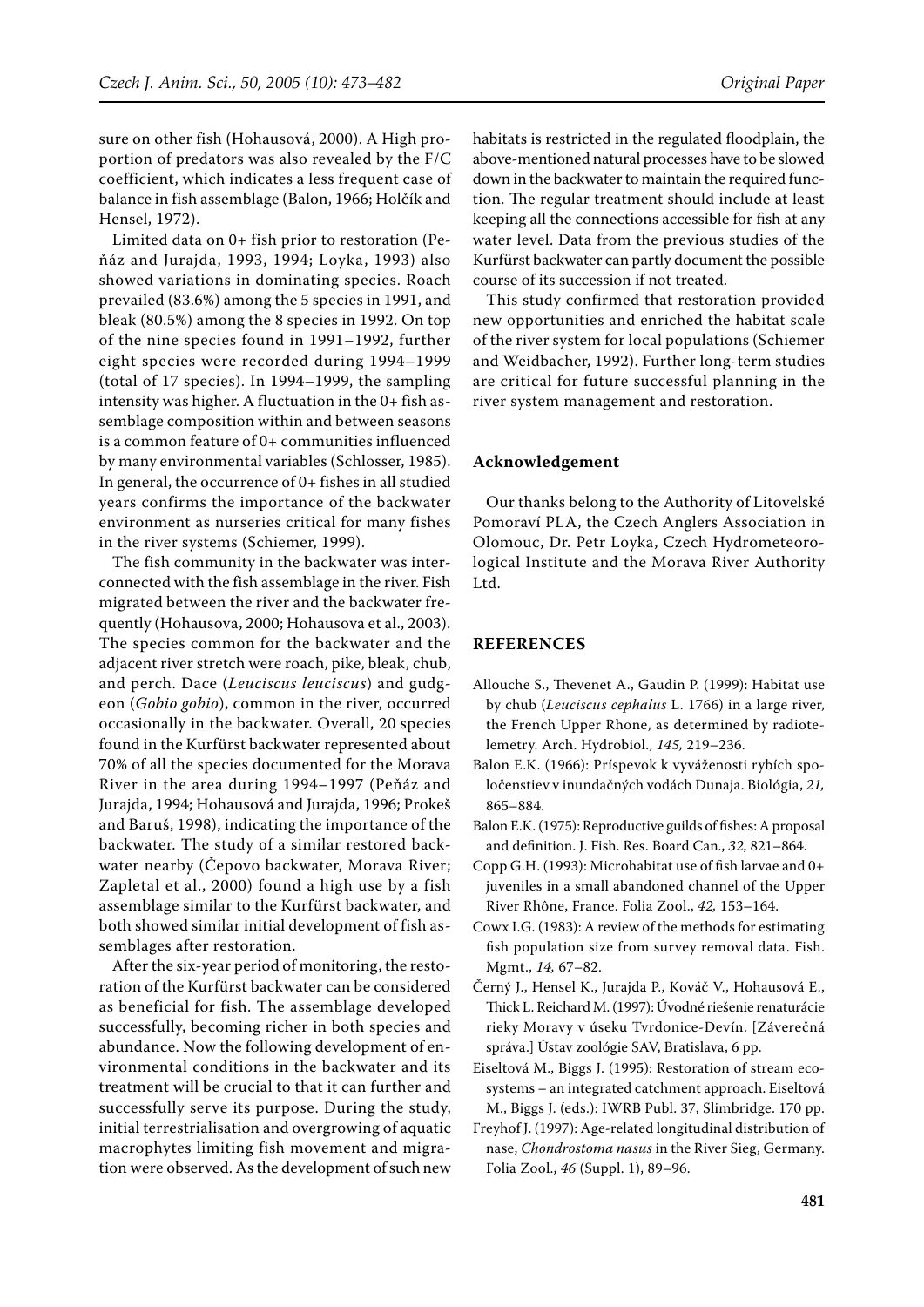sure on other fish (Hohausová, 2000). A High proportion of predators was also revealed by the F/C coefficient, which indicates a less frequent case of balance in fish assemblage (Balon, 1966; Holčík and Hensel, 1972).

Limited data on 0+ fish prior to restoration (Peňáz and Jurajda, 1993, 1994; Loyka, 1993) also showed variations in dominating species. Roach prevailed (83.6%) among the 5 species in 1991, and bleak (80.5%) among the 8 species in 1992. On top of the nine species found in 1991–1992, further eight species were recorded during 1994–1999 (total of 17 species). In 1994–1999, the sampling intensity was higher. A fluctuation in the 0+ fish assemblage composition within and between seasons is a common feature of 0+ communities influenced by many environmental variables (Schlosser, 1985). In general, the occurrence of 0+ fishes in all studied years confirms the importance of the backwater environment as nurseries critical for many fishes in the river systems (Schiemer, 1999).

The fish community in the backwater was interconnected with the fish assemblage in the river. Fish migrated between the river and the backwater frequently (Hohausova, 2000; Hohausova et al., 2003). The species common for the backwater and the adjacent river stretch were roach, pike, bleak, chub, and perch. Dace (*Leuciscus leuciscus*) and gudgeon (*Gobio gobio*), common in the river, occurred occasionally in the backwater. Overall, 20 species found in the Kurfürst backwater represented about 70% of all the species documented for the Morava River in the area during 1994–1997 (Peňáz and Jurajda, 1994; Hohausová and Jurajda, 1996; Prokeš and Baruš, 1998), indicating the importance of the backwater. The study of a similar restored backwater nearby (Čepovo backwater, Morava River; Zapletal et al., 2000) found a high use by a fish assemblage similar to the Kurfürst backwater, and both showed similar initial development of fish assemblages after restoration.

After the six-year period of monitoring, the restoration of the Kurfürst backwater can be considered as beneficial for fish. The assemblage developed successfully, becoming richer in both species and abundance. Now the following development of environmental conditions in the backwater and its treatment will be crucial to that it can further and successfully serve its purpose. During the study, initial terrestrialisation and overgrowing of aquatic macrophytes limiting fish movement and migration were observed. As the development of such new habitats is restricted in the regulated floodplain, the above-mentioned natural processes have to be slowed down in the backwater to maintain the required function. The regular treatment should include at least keeping all the connections accessible for fish at any water level. Data from the previous studies of the Kurfürst backwater can partly document the possible course of its succession if not treated.

This study confirmed that restoration provided new opportunities and enriched the habitat scale of the river system for local populations (Schiemer and Weidbacher, 1992). Further long-term studies are critical for future successful planning in the river system management and restoration.

### **Acknowledgement**

Our thanks belong to the Authority of Litovelské Pomoraví PLA, the Czech Anglers Association in Olomouc, Dr. Petr Loyka, Czech Hydrometeorological Institute and the Morava River Authority Ltd.

### **REFERENCES**

- Allouche S., Thevenet A., Gaudin P. (1999): Habitat use by chub (*Leuciscus cephalus* L. 1766) in a large river, the French Upper Rhone, as determined by radiotelemetry. Arch. Hydrobiol., *145,* 219–236.
- Balon E.K. (1966): Príspevok k vyváženosti rybích spoločenstiev v inundačných vodách Dunaja. Biológia, *21,* 865–884.
- Balon E.K. (1975): Reproductive guilds of fishes: A proposal and definition. J. Fish. Res. Board Can., *32*, 821–864.
- Copp G.H. (1993): Microhabitat use of fish larvae and 0+ juveniles in a small abandoned channel of the Upper River Rhône, France. Folia Zool., *42,* 153–164.
- Cowx I.G. (1983): A review of the methods for estimating fish population size from survey removal data. Fish. Mgmt., *14,* 67–82.
- Černý J., Hensel K., Jurajda P., Kováč V., Hohausová E., Thick L. Reichard M. (1997): Úvodné riešenie renaturácie rieky Moravy v úseku Tvrdonice-Devín. [Záverečná správa.] Ústav zoológie SAV, Bratislava, 6 pp.
- Eiseltová M., Biggs J. (1995): Restoration of stream ecosystems – an integrated catchment approach. Eiseltová M., Biggs J. (eds.): IWRB Publ. 37, Slimbridge. 170 pp.
- Freyhof J. (1997): Age-related longitudinal distribution of nase, *Chondrostoma nasus* in the River Sieg, Germany. Folia Zool., *46* (Suppl. 1), 89–96.